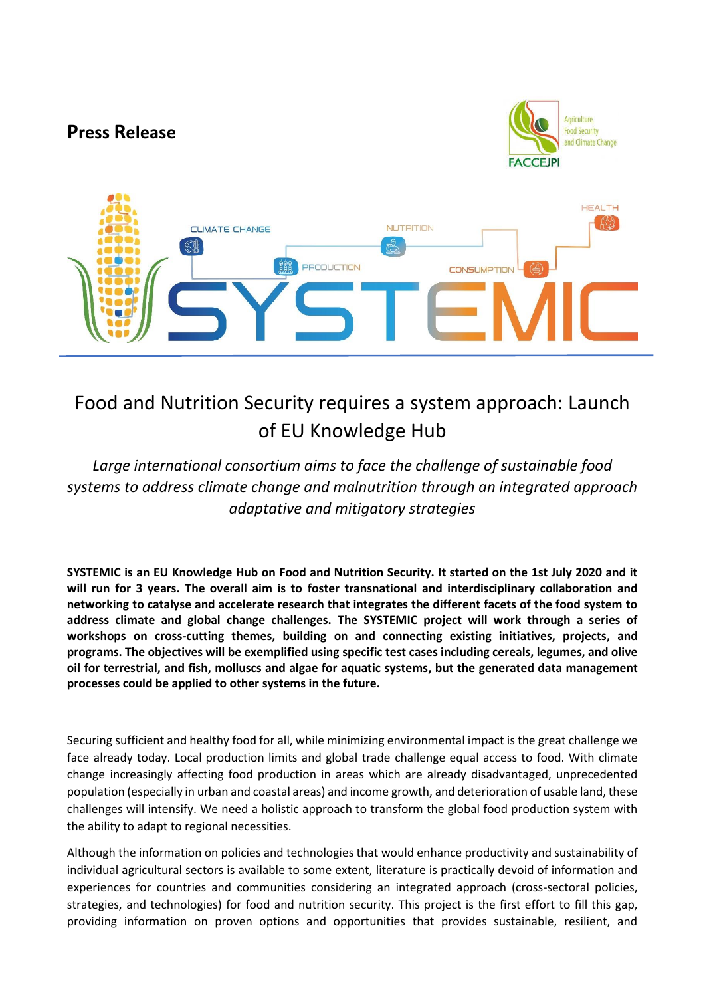

## Food and Nutrition Security requires a system approach: Launch of EU Knowledge Hub

*Large international consortium aims to face the challenge of sustainable food systems to address climate change and malnutrition through an integrated approach adaptative and mitigatory strategies*

**SYSTEMIC is an EU Knowledge Hub on Food and Nutrition Security. It started on the 1st July 2020 and it will run for 3 years. The overall aim is to foster transnational and interdisciplinary collaboration and networking to catalyse and accelerate research that integrates the different facets of the food system to address climate and global change challenges. The SYSTEMIC project will work through a series of workshops on cross-cutting themes, building on and connecting existing initiatives, projects, and programs. The objectives will be exemplified using specific test cases including cereals, legumes, and olive oil for terrestrial, and fish, molluscs and algae for aquatic systems, but the generated data management processes could be applied to other systems in the future.**

Securing sufficient and healthy food for all, while minimizing environmental impact is the great challenge we face already today. Local production limits and global trade challenge equal access to food. With climate change increasingly affecting food production in areas which are already disadvantaged, unprecedented population (especially in urban and coastal areas) and income growth, and deterioration of usable land, these challenges will intensify. We need a holistic approach to transform the global food production system with the ability to adapt to regional necessities.

Although the information on policies and technologies that would enhance productivity and sustainability of individual agricultural sectors is available to some extent, literature is practically devoid of information and experiences for countries and communities considering an integrated approach (cross-sectoral policies, strategies, and technologies) for food and nutrition security. This project is the first effort to fill this gap, providing information on proven options and opportunities that provides sustainable, resilient, and